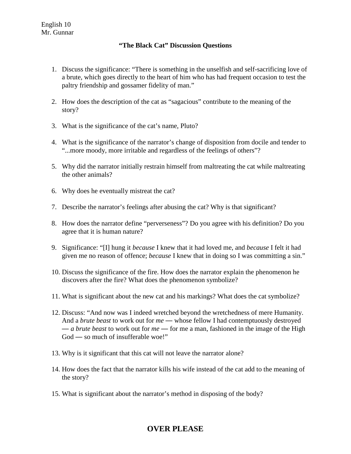## **"The Black Cat" Discussion Questions**

- 1. Discuss the significance: "There is something in the unselfish and self-sacrificing love of a brute, which goes directly to the heart of him who has had frequent occasion to test the paltry friendship and gossamer fidelity of man."
- 2. How does the description of the cat as "sagacious" contribute to the meaning of the story?
- 3. What is the significance of the cat's name, Pluto?
- 4. What is the significance of the narrator's change of disposition from docile and tender to "...more moody, more irritable and regardless of the feelings of others"?
- 5. Why did the narrator initially restrain himself from maltreating the cat while maltreating the other animals?
- 6. Why does he eventually mistreat the cat?
- 7. Describe the narrator's feelings after abusing the cat? Why is that significant?
- 8. How does the narrator define "perverseness"? Do you agree with his definition? Do you agree that it is human nature?
- 9. Significance: "[I] hung it *because* I knew that it had loved me, and *because* I felt it had given me no reason of offence; *because* I knew that in doing so I was committing a sin."
- 10. Discuss the significance of the fire. How does the narrator explain the phenomenon he discovers after the fire? What does the phenomenon symbolize?
- 11. What is significant about the new cat and his markings? What does the cat symbolize?
- 12. Discuss: "And now was I indeed wretched beyond the wretchedness of mere Humanity. And a *brute beast* to work out for *me* — whose fellow I had contemptuously destroyed — *a brute beast* to work out for *me* — for me a man, fashioned in the image of the High God — so much of insufferable woe!"
- 13. Why is it significant that this cat will not leave the narrator alone?
- 14. How does the fact that the narrator kills his wife instead of the cat add to the meaning of the story?
- 15. What is significant about the narrator's method in disposing of the body?

## **OVER PLEASE**